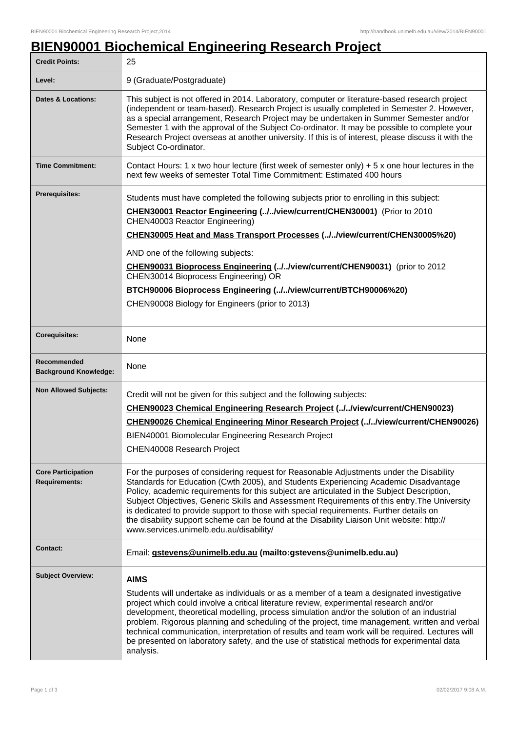## **BIEN90001 Biochemical Engineering Research Project**

| <b>Credit Points:</b>                             | 25                                                                                                                                                                                                                                                                                                                                                                                                                                                                                                                                                                                                                  |
|---------------------------------------------------|---------------------------------------------------------------------------------------------------------------------------------------------------------------------------------------------------------------------------------------------------------------------------------------------------------------------------------------------------------------------------------------------------------------------------------------------------------------------------------------------------------------------------------------------------------------------------------------------------------------------|
| Level:                                            | 9 (Graduate/Postgraduate)                                                                                                                                                                                                                                                                                                                                                                                                                                                                                                                                                                                           |
| <b>Dates &amp; Locations:</b>                     | This subject is not offered in 2014. Laboratory, computer or literature-based research project<br>(independent or team-based). Research Project is usually completed in Semester 2. However,<br>as a special arrangement, Research Project may be undertaken in Summer Semester and/or<br>Semester 1 with the approval of the Subject Co-ordinator. It may be possible to complete your<br>Research Project overseas at another university. If this is of interest, please discuss it with the<br>Subject Co-ordinator.                                                                                             |
| <b>Time Commitment:</b>                           | Contact Hours: 1 x two hour lecture (first week of semester only) $+5x$ one hour lectures in the<br>next few weeks of semester Total Time Commitment: Estimated 400 hours                                                                                                                                                                                                                                                                                                                                                                                                                                           |
| Prerequisites:                                    | Students must have completed the following subjects prior to enrolling in this subject:<br>CHEN30001 Reactor Engineering (//view/current/CHEN30001) (Prior to 2010<br>CHEN40003 Reactor Engineering)<br>CHEN30005 Heat and Mass Transport Processes (//view/current/CHEN30005%20)<br>AND one of the following subjects:<br>CHEN90031 Bioprocess Engineering (//view/current/CHEN90031) (prior to 2012<br>CHEN30014 Bioprocess Engineering) OR<br>BTCH90006 Bioprocess Engineering (//view/current/BTCH90006%20)<br>CHEN90008 Biology for Engineers (prior to 2013)                                                  |
| <b>Corequisites:</b>                              | None                                                                                                                                                                                                                                                                                                                                                                                                                                                                                                                                                                                                                |
| Recommended<br><b>Background Knowledge:</b>       | None                                                                                                                                                                                                                                                                                                                                                                                                                                                                                                                                                                                                                |
| <b>Non Allowed Subjects:</b>                      | Credit will not be given for this subject and the following subjects:<br><b>CHEN90023 Chemical Engineering Research Project (//view/current/CHEN90023)</b><br>CHEN90026 Chemical Engineering Minor Research Project (//view/current/CHEN90026)<br>BIEN40001 Biomolecular Engineering Research Project<br>CHEN40008 Research Project                                                                                                                                                                                                                                                                                 |
| <b>Core Participation</b><br><b>Requirements:</b> | For the purposes of considering request for Reasonable Adjustments under the Disability<br>Standards for Education (Cwth 2005), and Students Experiencing Academic Disadvantage<br>Policy, academic requirements for this subject are articulated in the Subject Description,<br>Subject Objectives, Generic Skills and Assessment Requirements of this entry. The University<br>is dedicated to provide support to those with special requirements. Further details on<br>the disability support scheme can be found at the Disability Liaison Unit website: http://<br>www.services.unimelb.edu.au/disability/    |
| <b>Contact:</b>                                   | Email: gstevens@unimelb.edu.au (mailto:gstevens@unimelb.edu.au)                                                                                                                                                                                                                                                                                                                                                                                                                                                                                                                                                     |
| <b>Subject Overview:</b>                          | <b>AIMS</b><br>Students will undertake as individuals or as a member of a team a designated investigative<br>project which could involve a critical literature review, experimental research and/or<br>development, theoretical modelling, process simulation and/or the solution of an industrial<br>problem. Rigorous planning and scheduling of the project, time management, written and verbal<br>technical communication, interpretation of results and team work will be required. Lectures will<br>be presented on laboratory safety, and the use of statistical methods for experimental data<br>analysis. |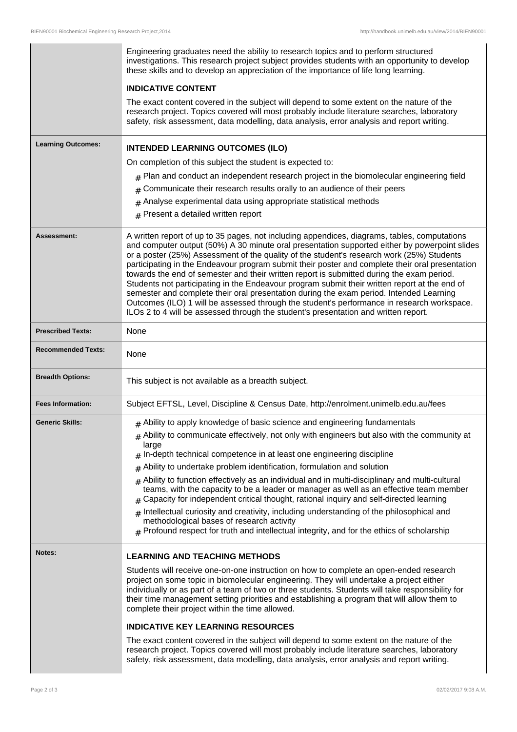|                           | Engineering graduates need the ability to research topics and to perform structured<br>investigations. This research project subject provides students with an opportunity to develop<br>these skills and to develop an appreciation of the importance of life long learning.                                                                                                                                                                                                                                                                                                                                                                                                                                                                                                                                                                                               |
|---------------------------|-----------------------------------------------------------------------------------------------------------------------------------------------------------------------------------------------------------------------------------------------------------------------------------------------------------------------------------------------------------------------------------------------------------------------------------------------------------------------------------------------------------------------------------------------------------------------------------------------------------------------------------------------------------------------------------------------------------------------------------------------------------------------------------------------------------------------------------------------------------------------------|
|                           | <b>INDICATIVE CONTENT</b>                                                                                                                                                                                                                                                                                                                                                                                                                                                                                                                                                                                                                                                                                                                                                                                                                                                   |
|                           | The exact content covered in the subject will depend to some extent on the nature of the<br>research project. Topics covered will most probably include literature searches, laboratory<br>safety, risk assessment, data modelling, data analysis, error analysis and report writing.                                                                                                                                                                                                                                                                                                                                                                                                                                                                                                                                                                                       |
| <b>Learning Outcomes:</b> | <b>INTENDED LEARNING OUTCOMES (ILO)</b>                                                                                                                                                                                                                                                                                                                                                                                                                                                                                                                                                                                                                                                                                                                                                                                                                                     |
|                           | On completion of this subject the student is expected to:                                                                                                                                                                                                                                                                                                                                                                                                                                                                                                                                                                                                                                                                                                                                                                                                                   |
|                           | $_{\text{\#}}$ Plan and conduct an independent research project in the biomolecular engineering field                                                                                                                                                                                                                                                                                                                                                                                                                                                                                                                                                                                                                                                                                                                                                                       |
|                           | Communicate their research results orally to an audience of their peers<br>#                                                                                                                                                                                                                                                                                                                                                                                                                                                                                                                                                                                                                                                                                                                                                                                                |
|                           | $#$ Analyse experimental data using appropriate statistical methods                                                                                                                                                                                                                                                                                                                                                                                                                                                                                                                                                                                                                                                                                                                                                                                                         |
|                           | $#$ Present a detailed written report                                                                                                                                                                                                                                                                                                                                                                                                                                                                                                                                                                                                                                                                                                                                                                                                                                       |
| Assessment:               | A written report of up to 35 pages, not including appendices, diagrams, tables, computations<br>and computer output (50%) A 30 minute oral presentation supported either by powerpoint slides<br>or a poster (25%) Assessment of the quality of the student's research work (25%) Students<br>participating in the Endeavour program submit their poster and complete their oral presentation<br>towards the end of semester and their written report is submitted during the exam period.<br>Students not participating in the Endeavour program submit their written report at the end of<br>semester and complete their oral presentation during the exam period. Intended Learning<br>Outcomes (ILO) 1 will be assessed through the student's performance in research workspace.<br>ILOs 2 to 4 will be assessed through the student's presentation and written report. |
| <b>Prescribed Texts:</b>  | None                                                                                                                                                                                                                                                                                                                                                                                                                                                                                                                                                                                                                                                                                                                                                                                                                                                                        |
| <b>Recommended Texts:</b> | None                                                                                                                                                                                                                                                                                                                                                                                                                                                                                                                                                                                                                                                                                                                                                                                                                                                                        |
| <b>Breadth Options:</b>   | This subject is not available as a breadth subject.                                                                                                                                                                                                                                                                                                                                                                                                                                                                                                                                                                                                                                                                                                                                                                                                                         |
| <b>Fees Information:</b>  | Subject EFTSL, Level, Discipline & Census Date, http://enrolment.unimelb.edu.au/fees                                                                                                                                                                                                                                                                                                                                                                                                                                                                                                                                                                                                                                                                                                                                                                                        |
| <b>Generic Skills:</b>    | $#$ Ability to apply knowledge of basic science and engineering fundamentals                                                                                                                                                                                                                                                                                                                                                                                                                                                                                                                                                                                                                                                                                                                                                                                                |
|                           | $#$ Ability to communicate effectively, not only with engineers but also with the community at                                                                                                                                                                                                                                                                                                                                                                                                                                                                                                                                                                                                                                                                                                                                                                              |
|                           | large<br>$#$ In-depth technical competence in at least one engineering discipline                                                                                                                                                                                                                                                                                                                                                                                                                                                                                                                                                                                                                                                                                                                                                                                           |
|                           | $#$ Ability to undertake problem identification, formulation and solution                                                                                                                                                                                                                                                                                                                                                                                                                                                                                                                                                                                                                                                                                                                                                                                                   |
|                           | $#$ Ability to function effectively as an individual and in multi-disciplinary and multi-cultural<br>teams, with the capacity to be a leader or manager as well as an effective team member<br>Capacity for independent critical thought, rational inquiry and self-directed learning<br>#                                                                                                                                                                                                                                                                                                                                                                                                                                                                                                                                                                                  |
|                           | $#$ Intellectual curiosity and creativity, including understanding of the philosophical and<br>methodological bases of research activity<br>$#$ Profound respect for truth and intellectual integrity, and for the ethics of scholarship                                                                                                                                                                                                                                                                                                                                                                                                                                                                                                                                                                                                                                    |
| Notes:                    | <b>LEARNING AND TEACHING METHODS</b>                                                                                                                                                                                                                                                                                                                                                                                                                                                                                                                                                                                                                                                                                                                                                                                                                                        |
|                           | Students will receive one-on-one instruction on how to complete an open-ended research<br>project on some topic in biomolecular engineering. They will undertake a project either<br>individually or as part of a team of two or three students. Students will take responsibility for<br>their time management setting priorities and establishing a program that will allow them to<br>complete their project within the time allowed.                                                                                                                                                                                                                                                                                                                                                                                                                                    |
|                           | <b>INDICATIVE KEY LEARNING RESOURCES</b>                                                                                                                                                                                                                                                                                                                                                                                                                                                                                                                                                                                                                                                                                                                                                                                                                                    |
|                           | The exact content covered in the subject will depend to some extent on the nature of the<br>research project. Topics covered will most probably include literature searches, laboratory<br>safety, risk assessment, data modelling, data analysis, error analysis and report writing.                                                                                                                                                                                                                                                                                                                                                                                                                                                                                                                                                                                       |

 $\overline{\phantom{a}}$